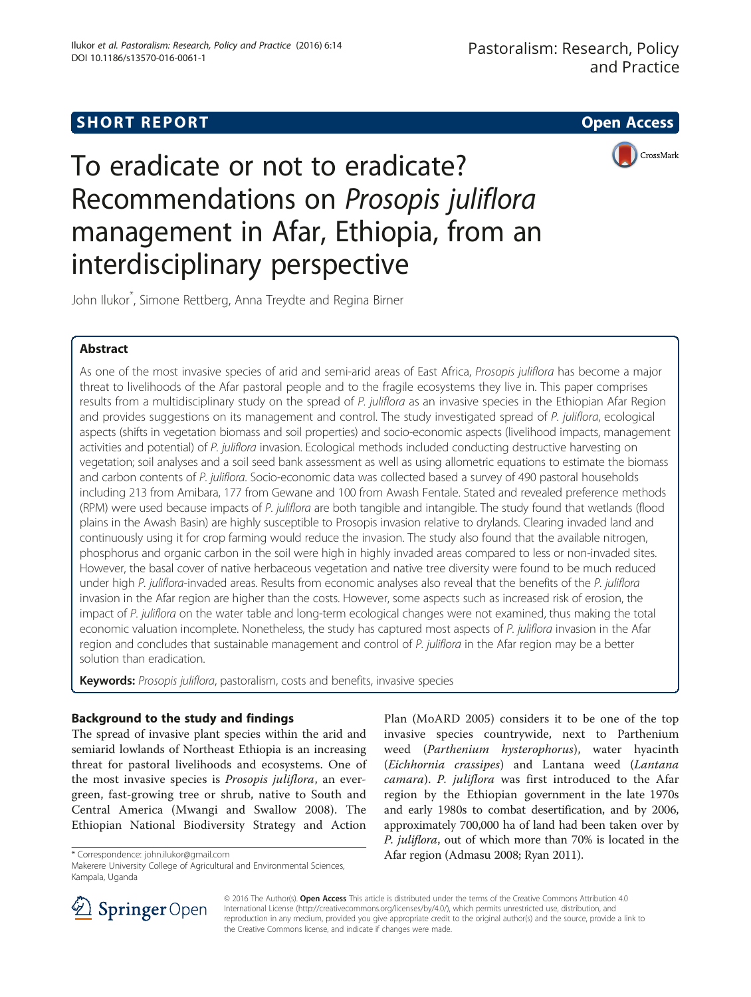# **SHORT REPORT CONSUMING THE SHORT CONSUMING THE CONSUMING THE CONSUMING THE CONSUMING THE CONSUMING THE CONSUMING THE CONSUMING THE CONSUMING THE CONSUMING THE CONSUMING THE CONSUMING THE CONSUMING THE CONSUMING THE CONSUM**



To eradicate or not to eradicate? Recommendations on Prosopis juliflora management in Afar, Ethiopia, from an interdisciplinary perspective

John Ilukor\* , Simone Rettberg, Anna Treydte and Regina Birner

# Abstract

As one of the most invasive species of arid and semi-arid areas of East Africa, Prosopis juliflora has become a major threat to livelihoods of the Afar pastoral people and to the fragile ecosystems they live in. This paper comprises results from a multidisciplinary study on the spread of P. juliflora as an invasive species in the Ethiopian Afar Region and provides suggestions on its management and control. The study investigated spread of P. juliflora, ecological aspects (shifts in vegetation biomass and soil properties) and socio-economic aspects (livelihood impacts, management activities and potential) of P. juliflora invasion. Ecological methods included conducting destructive harvesting on vegetation; soil analyses and a soil seed bank assessment as well as using allometric equations to estimate the biomass and carbon contents of P. juliflora. Socio-economic data was collected based a survey of 490 pastoral households including 213 from Amibara, 177 from Gewane and 100 from Awash Fentale. Stated and revealed preference methods (RPM) were used because impacts of P. juliflora are both tangible and intangible. The study found that wetlands (flood plains in the Awash Basin) are highly susceptible to Prosopis invasion relative to drylands. Clearing invaded land and continuously using it for crop farming would reduce the invasion. The study also found that the available nitrogen, phosphorus and organic carbon in the soil were high in highly invaded areas compared to less or non-invaded sites. However, the basal cover of native herbaceous vegetation and native tree diversity were found to be much reduced under high P. juliflora-invaded areas. Results from economic analyses also reveal that the benefits of the P. juliflora invasion in the Afar region are higher than the costs. However, some aspects such as increased risk of erosion, the impact of P. juliflora on the water table and long-term ecological changes were not examined, thus making the total economic valuation incomplete. Nonetheless, the study has captured most aspects of P. juliflora invasion in the Afar region and concludes that sustainable management and control of P. juliflora in the Afar region may be a better solution than eradication.

Keywords: Prosopis juliflora, pastoralism, costs and benefits, invasive species

# Background to the study and findings

The spread of invasive plant species within the arid and semiarid lowlands of Northeast Ethiopia is an increasing threat for pastoral livelihoods and ecosystems. One of the most invasive species is Prosopis juliflora, an evergreen, fast-growing tree or shrub, native to South and Central America (Mwangi and Swallow [2008](#page-7-0)). The Ethiopian National Biodiversity Strategy and Action

Plan (MoARD [2005](#page-7-0)) considers it to be one of the top invasive species countrywide, next to Parthenium weed (Parthenium hysterophorus), water hyacinth (Eichhornia crassipes) and Lantana weed (Lantana camara). P. juliflora was first introduced to the Afar region by the Ethiopian government in the late 1970s and early 1980s to combat desertification, and by 2006, approximately 700,000 ha of land had been taken over by P. juliflora, out of which more than 70% is located in the \* Correspondence: [john.ilukor@gmail.com](mailto:john.ilukor@gmail.com) **behavior and access afar region (Admasu [2008](#page-7-0); Ryan [2011\)](#page-7-0).** 



© 2016 The Author(s). Open Access This article is distributed under the terms of the Creative Commons Attribution 4.0 International License ([http://creativecommons.org/licenses/by/4.0/\)](http://creativecommons.org/licenses/by/4.0/), which permits unrestricted use, distribution, and reproduction in any medium, provided you give appropriate credit to the original author(s) and the source, provide a link to the Creative Commons license, and indicate if changes were made.

Makerere University College of Agricultural and Environmental Sciences, Kampala, Uganda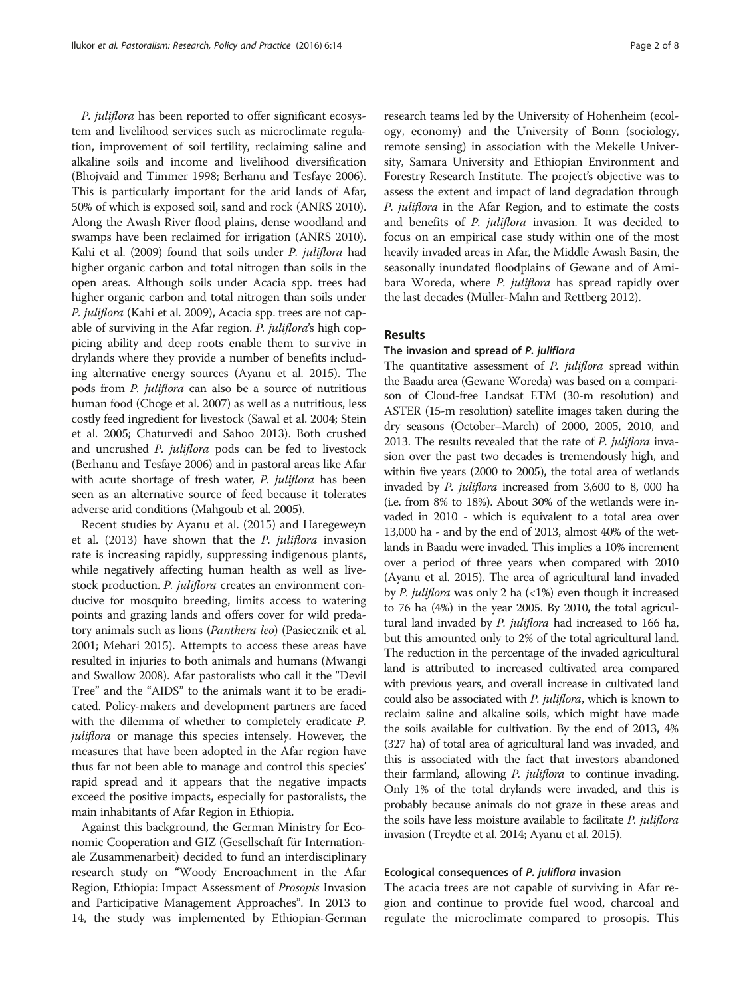P. juliflora has been reported to offer significant ecosystem and livelihood services such as microclimate regulation, improvement of soil fertility, reclaiming saline and alkaline soils and income and livelihood diversification (Bhojvaid and Timmer [1998;](#page-7-0) Berhanu and Tesfaye [2006](#page-7-0)). This is particularly important for the arid lands of Afar, 50% of which is exposed soil, sand and rock (ANRS [2010](#page-7-0)). Along the Awash River flood plains, dense woodland and swamps have been reclaimed for irrigation (ANRS [2010](#page-7-0)). Kahi et al. [\(2009\)](#page-7-0) found that soils under P. juliflora had higher organic carbon and total nitrogen than soils in the open areas. Although soils under Acacia spp. trees had higher organic carbon and total nitrogen than soils under P. juliflora (Kahi et al. [2009](#page-7-0)), Acacia spp. trees are not capable of surviving in the Afar region. P. juliflora's high coppicing ability and deep roots enable them to survive in drylands where they provide a number of benefits including alternative energy sources (Ayanu et al. [2015\)](#page-7-0). The pods from P. juliflora can also be a source of nutritious human food (Choge et al. [2007\)](#page-7-0) as well as a nutritious, less costly feed ingredient for livestock (Sawal et al. [2004;](#page-7-0) Stein et al. [2005;](#page-7-0) Chaturvedi and Sahoo [2013](#page-7-0)). Both crushed and uncrushed P. juliflora pods can be fed to livestock (Berhanu and Tesfaye [2006\)](#page-7-0) and in pastoral areas like Afar with acute shortage of fresh water, P. juliflora has been seen as an alternative source of feed because it tolerates adverse arid conditions (Mahgoub et al. [2005\)](#page-7-0).

Recent studies by Ayanu et al. [\(2015\)](#page-7-0) and Haregeweyn et al. [\(2013\)](#page-7-0) have shown that the P. juliflora invasion rate is increasing rapidly, suppressing indigenous plants, while negatively affecting human health as well as livestock production. P. juliflora creates an environment conducive for mosquito breeding, limits access to watering points and grazing lands and offers cover for wild predatory animals such as lions (Panthera leo) (Pasiecznik et al. [2001;](#page-7-0) Mehari [2015\)](#page-7-0). Attempts to access these areas have resulted in injuries to both animals and humans (Mwangi and Swallow [2008](#page-7-0)). Afar pastoralists who call it the "Devil Tree" and the "AIDS" to the animals want it to be eradicated. Policy-makers and development partners are faced with the dilemma of whether to completely eradicate P. juliflora or manage this species intensely. However, the measures that have been adopted in the Afar region have thus far not been able to manage and control this species' rapid spread and it appears that the negative impacts exceed the positive impacts, especially for pastoralists, the main inhabitants of Afar Region in Ethiopia.

Against this background, the German Ministry for Economic Cooperation and GIZ (Gesellschaft für Internationale Zusammenarbeit) decided to fund an interdisciplinary research study on "Woody Encroachment in the Afar Region, Ethiopia: Impact Assessment of Prosopis Invasion and Participative Management Approaches". In 2013 to 14, the study was implemented by Ethiopian-German

research teams led by the University of Hohenheim (ecology, economy) and the University of Bonn (sociology, remote sensing) in association with the Mekelle University, Samara University and Ethiopian Environment and Forestry Research Institute. The project's objective was to assess the extent and impact of land degradation through P. juliflora in the Afar Region, and to estimate the costs and benefits of *P. juliflora* invasion. It was decided to focus on an empirical case study within one of the most heavily invaded areas in Afar, the Middle Awash Basin, the seasonally inundated floodplains of Gewane and of Amibara Woreda, where P. juliflora has spread rapidly over the last decades (Müller-Mahn and Rettberg [2012](#page-7-0)).

### Results

#### The invasion and spread of P. juliflora

The quantitative assessment of P. juliflora spread within the Baadu area (Gewane Woreda) was based on a comparison of Cloud-free Landsat ETM (30-m resolution) and ASTER (15-m resolution) satellite images taken during the dry seasons (October–March) of 2000, 2005, 2010, and 2013. The results revealed that the rate of P. juliflora invasion over the past two decades is tremendously high, and within five years (2000 to 2005), the total area of wetlands invaded by P. juliflora increased from 3,600 to 8, 000 ha (i.e. from 8% to 18%). About 30% of the wetlands were invaded in 2010 - which is equivalent to a total area over 13,000 ha - and by the end of 2013, almost 40% of the wetlands in Baadu were invaded. This implies a 10% increment over a period of three years when compared with 2010 (Ayanu et al. [2015](#page-7-0)). The area of agricultural land invaded by P. juliflora was only 2 ha  $\langle$  (<1%) even though it increased to 76 ha (4%) in the year 2005. By 2010, the total agricultural land invaded by P. juliflora had increased to 166 ha, but this amounted only to 2% of the total agricultural land. The reduction in the percentage of the invaded agricultural land is attributed to increased cultivated area compared with previous years, and overall increase in cultivated land could also be associated with P. juliflora, which is known to reclaim saline and alkaline soils, which might have made the soils available for cultivation. By the end of 2013, 4% (327 ha) of total area of agricultural land was invaded, and this is associated with the fact that investors abandoned their farmland, allowing P. juliflora to continue invading. Only 1% of the total drylands were invaded, and this is probably because animals do not graze in these areas and the soils have less moisture available to facilitate *P. juliflora* invasion (Treydte et al. [2014;](#page-7-0) Ayanu et al. [2015](#page-7-0)).

#### Ecological consequences of P. juliflora invasion

The acacia trees are not capable of surviving in Afar region and continue to provide fuel wood, charcoal and regulate the microclimate compared to prosopis. This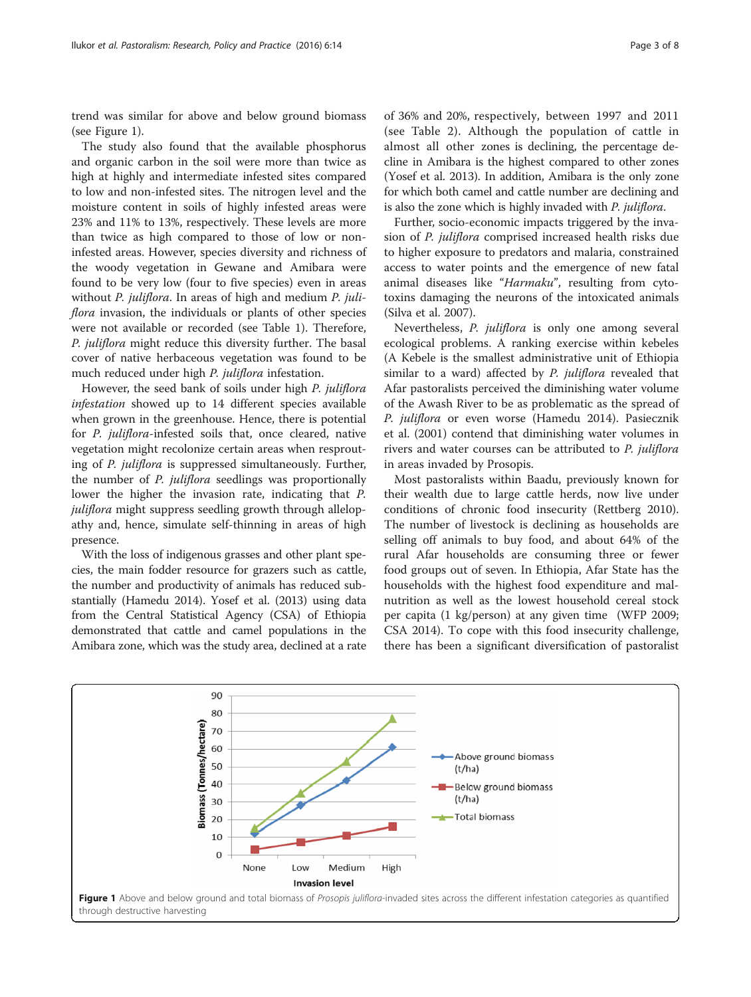trend was similar for above and below ground biomass (see Figure 1).

The study also found that the available phosphorus and organic carbon in the soil were more than twice as high at highly and intermediate infested sites compared to low and non-infested sites. The nitrogen level and the moisture content in soils of highly infested areas were 23% and 11% to 13%, respectively. These levels are more than twice as high compared to those of low or noninfested areas. However, species diversity and richness of the woody vegetation in Gewane and Amibara were found to be very low (four to five species) even in areas without *P. juliflora*. In areas of high and medium *P. juli*flora invasion, the individuals or plants of other species were not available or recorded (see Table [1\)](#page-3-0). Therefore, P. juliflora might reduce this diversity further. The basal cover of native herbaceous vegetation was found to be much reduced under high P. juliflora infestation.

However, the seed bank of soils under high *P. juliflora* infestation showed up to 14 different species available when grown in the greenhouse. Hence, there is potential for P. juliflora-infested soils that, once cleared, native vegetation might recolonize certain areas when resprouting of P. juliflora is suppressed simultaneously. Further, the number of P. juliflora seedlings was proportionally lower the higher the invasion rate, indicating that P. juliflora might suppress seedling growth through allelopathy and, hence, simulate self-thinning in areas of high presence.

With the loss of indigenous grasses and other plant species, the main fodder resource for grazers such as cattle, the number and productivity of animals has reduced substantially (Hamedu [2014\)](#page-7-0). Yosef et al. [\(2013\)](#page-7-0) using data from the Central Statistical Agency (CSA) of Ethiopia demonstrated that cattle and camel populations in the Amibara zone, which was the study area, declined at a rate of 36% and 20%, respectively, between 1997 and 2011 (see Table [2](#page-3-0)). Although the population of cattle in almost all other zones is declining, the percentage decline in Amibara is the highest compared to other zones (Yosef et al. [2013\)](#page-7-0). In addition, Amibara is the only zone for which both camel and cattle number are declining and is also the zone which is highly invaded with P. juliflora.

Further, socio-economic impacts triggered by the invasion of P. juliflora comprised increased health risks due to higher exposure to predators and malaria, constrained access to water points and the emergence of new fatal animal diseases like "Harmaku", resulting from cytotoxins damaging the neurons of the intoxicated animals (Silva et al. [2007](#page-7-0)).

Nevertheless, P. juliflora is only one among several ecological problems. A ranking exercise within kebeles (A Kebele is the smallest administrative unit of Ethiopia similar to a ward) affected by P. juliflora revealed that Afar pastoralists perceived the diminishing water volume of the Awash River to be as problematic as the spread of P. juliflora or even worse (Hamedu [2014\)](#page-7-0). Pasiecznik et al. ([2001](#page-7-0)) contend that diminishing water volumes in rivers and water courses can be attributed to P. juliflora in areas invaded by Prosopis.

Most pastoralists within Baadu, previously known for their wealth due to large cattle herds, now live under conditions of chronic food insecurity (Rettberg [2010](#page-7-0)). The number of livestock is declining as households are selling off animals to buy food, and about 64% of the rural Afar households are consuming three or fewer food groups out of seven. In Ethiopia, Afar State has the households with the highest food expenditure and malnutrition as well as the lowest household cereal stock per capita (1 kg/person) at any given time (WFP [2009](#page-7-0); CSA [2014\)](#page-7-0). To cope with this food insecurity challenge, there has been a significant diversification of pastoralist

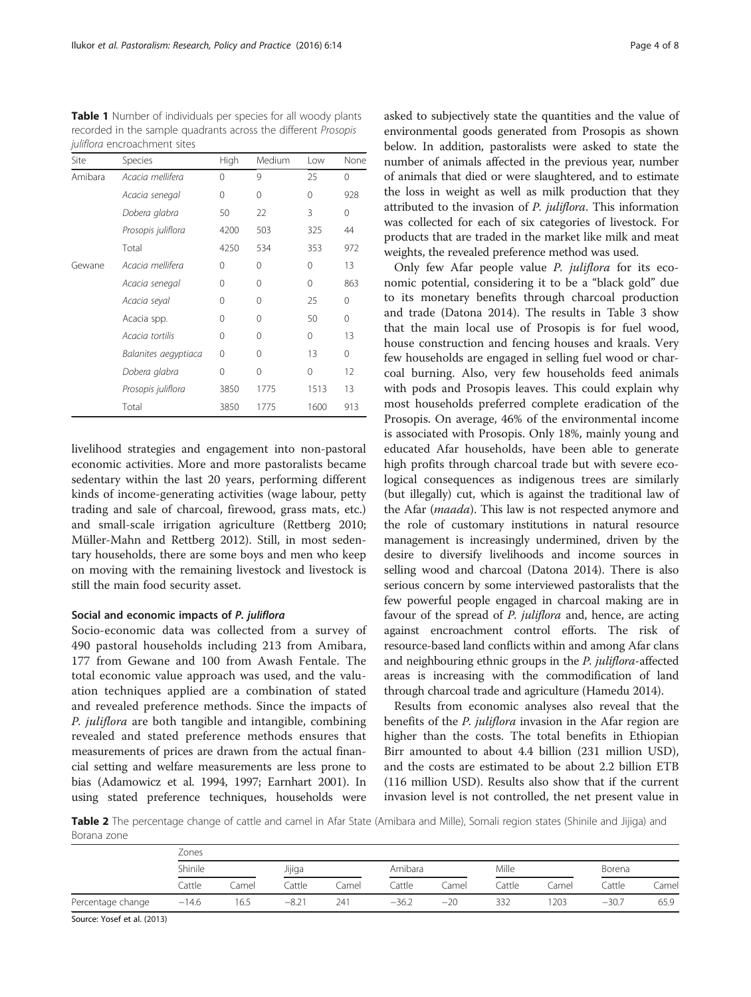| Site    | <b>Species</b>       | High     | Medium   | Low      | None     |
|---------|----------------------|----------|----------|----------|----------|
| Amibara | Acacia mellifera     | 0        | 9        | 25       | 0        |
|         | Acacia senegal       | 0        | 0        | 0        | 928      |
|         | Dobera glabra        | 50       | 22       | 3        | 0        |
|         | Prosopis juliflora   | 4200     | 503      | 325      | 44       |
|         | Total                | 4250     | 534      | 353      | 972      |
| Gewane  | Acacia mellifera     | $\Omega$ | $\Omega$ | $\Omega$ | 13       |
|         | Acacia senegal       | 0        | $\Omega$ | 0        | 863      |
|         | Acacia seyal         | 0        | $\Omega$ | 25       | 0        |
|         | Acacia spp.          | 0        | $\Omega$ | 50       | 0        |
|         | Acacia tortilis      | 0        | $\Omega$ | 0        | 13       |
|         | Balanites aegyptiaca | 0        | 0        | 13       | $\Omega$ |
|         | Dobera glabra        | 0        | 0        | 0        | 12       |
|         | Prosopis juliflora   | 3850     | 1775     | 1513     | 13       |
|         | Total                | 3850     | 1775     | 1600     | 913      |

<span id="page-3-0"></span>Table 1 Number of individuals per species for all woody plants recorded in the sample quadrants across the different Prosopis juliflora encroachment sites

livelihood strategies and engagement into non-pastoral economic activities. More and more pastoralists became sedentary within the last 20 years, performing different kinds of income-generating activities (wage labour, petty trading and sale of charcoal, firewood, grass mats, etc.) and small-scale irrigation agriculture (Rettberg [2010](#page-7-0); Müller-Mahn and Rettberg [2012](#page-7-0)). Still, in most sedentary households, there are some boys and men who keep on moving with the remaining livestock and livestock is still the main food security asset.

#### Social and economic impacts of P. juliflora

Socio-economic data was collected from a survey of 490 pastoral households including 213 from Amibara, 177 from Gewane and 100 from Awash Fentale. The total economic value approach was used, and the valuation techniques applied are a combination of stated and revealed preference methods. Since the impacts of P. juliflora are both tangible and intangible, combining revealed and stated preference methods ensures that measurements of prices are drawn from the actual financial setting and welfare measurements are less prone to bias (Adamowicz et al. [1994,](#page-6-0) [1997](#page-7-0); Earnhart [2001\)](#page-7-0). In using stated preference techniques, households were asked to subjectively state the quantities and the value of environmental goods generated from Prosopis as shown below. In addition, pastoralists were asked to state the number of animals affected in the previous year, number of animals that died or were slaughtered, and to estimate the loss in weight as well as milk production that they attributed to the invasion of P. juliflora. This information was collected for each of six categories of livestock. For products that are traded in the market like milk and meat weights, the revealed preference method was used.

Only few Afar people value P. juliflora for its economic potential, considering it to be a "black gold" due to its monetary benefits through charcoal production and trade (Datona [2014\)](#page-7-0). The results in Table [3](#page-4-0) show that the main local use of Prosopis is for fuel wood, house construction and fencing houses and kraals. Very few households are engaged in selling fuel wood or charcoal burning. Also, very few households feed animals with pods and Prosopis leaves. This could explain why most households preferred complete eradication of the Prosopis. On average, 46% of the environmental income is associated with Prosopis. Only 18%, mainly young and educated Afar households, have been able to generate high profits through charcoal trade but with severe ecological consequences as indigenous trees are similarly (but illegally) cut, which is against the traditional law of the Afar (maada). This law is not respected anymore and the role of customary institutions in natural resource management is increasingly undermined, driven by the desire to diversify livelihoods and income sources in selling wood and charcoal (Datona [2014](#page-7-0)). There is also serious concern by some interviewed pastoralists that the few powerful people engaged in charcoal making are in favour of the spread of *P. juliflora* and, hence, are acting against encroachment control efforts. The risk of resource-based land conflicts within and among Afar clans and neighbouring ethnic groups in the P. juliflora-affected areas is increasing with the commodification of land through charcoal trade and agriculture (Hamedu [2014](#page-7-0)).

Results from economic analyses also reveal that the benefits of the *P. juliflora* invasion in the Afar region are higher than the costs. The total benefits in Ethiopian Birr amounted to about 4.4 billion (231 million USD), and the costs are estimated to be about 2.2 billion ETB (116 million USD). Results also show that if the current invasion level is not controlled, the net present value in

Table 2 The percentage change of cattle and camel in Afar State (Amibara and Mille), Somali region states (Shinile and Jijiga) and Borana zone

|                   | Zones   |       |         |       |         |       |        |       |         |       |
|-------------------|---------|-------|---------|-------|---------|-------|--------|-------|---------|-------|
|                   | Shinile |       | Jijiga  |       | Amibara |       | Mille  |       | Borena  |       |
|                   | Cattle  | Camel | Cattle  | Camel | Cattle  | Camel | Cattle | Camel | Cattle  | Camel |
| Percentage change | $-14.6$ | 16.5  | $-8.21$ | 241   | $-36.2$ | $-20$ | 332    | 1203  | $-30.7$ | 65.9  |

Source: Yosef et al. [\(2013\)](#page-7-0)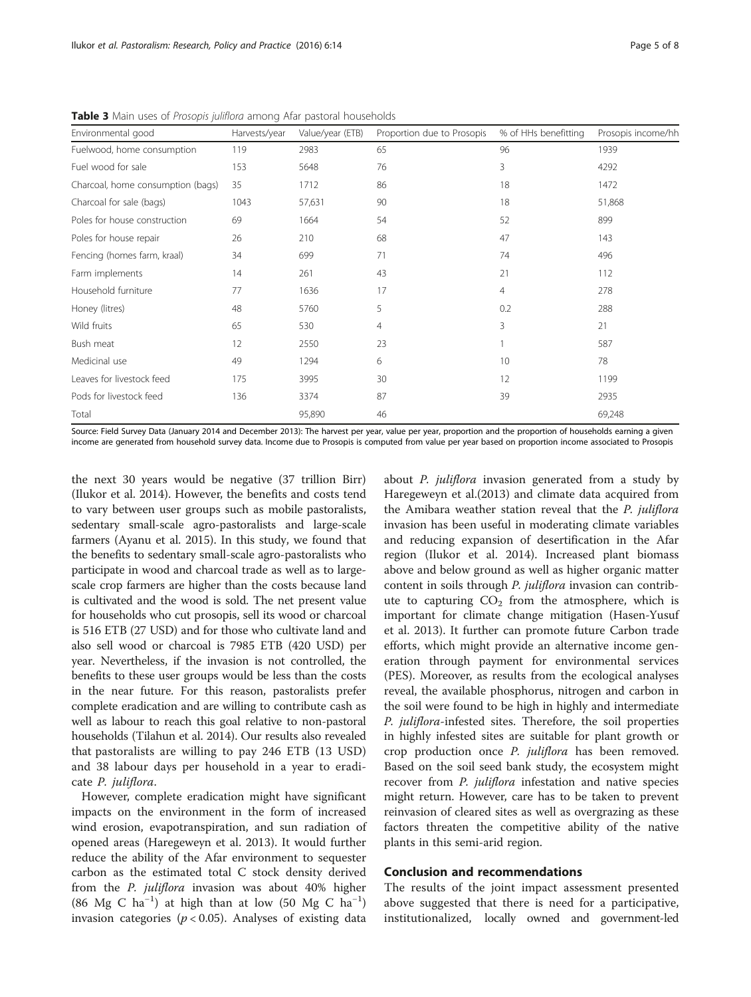| Environmental good                | Harvests/year | Value/year (ETB) | Proportion due to Prosopis | % of HHs benefitting | Prosopis income/hh |
|-----------------------------------|---------------|------------------|----------------------------|----------------------|--------------------|
| Fuelwood, home consumption        | 119           | 2983             | 65                         | 96                   | 1939               |
| Fuel wood for sale                | 153           | 5648             | 76                         | 3                    | 4292               |
| Charcoal, home consumption (bags) | 35            | 1712             | 86                         | 18                   | 1472               |
| Charcoal for sale (bags)          | 1043          | 57,631           | 90                         | 18                   | 51,868             |
| Poles for house construction      | 69            | 1664             | 54                         | 52                   | 899                |
| Poles for house repair            | 26            | 210              | 68                         | 47                   | 143                |
| Fencing (homes farm, kraal)       | 34            | 699              | 71                         | 74                   | 496                |
| Farm implements                   | 14            | 261              | 43                         | 21                   | 112                |
| Household furniture               | 77            | 1636             | 17                         | $\overline{4}$       | 278                |
| Honey (litres)                    | 48            | 5760             | 5                          | 0.2                  | 288                |
| Wild fruits                       | 65            | 530              | 4                          | 3                    | 21                 |
| Bush meat                         | 12            | 2550             | 23                         |                      | 587                |
| Medicinal use                     | 49            | 1294             | 6                          | 10                   | 78                 |
| Leaves for livestock feed         | 175           | 3995             | 30                         | 12                   | 1199               |
| Pods for livestock feed           | 136           | 3374             | 87                         | 39                   | 2935               |
| Total                             |               | 95,890           | 46                         |                      | 69,248             |

<span id="page-4-0"></span>Table 3 Main uses of Prosopis juliflora among Afar pastoral households

Source: Field Survey Data (January 2014 and December 2013): The harvest per year, value per year, proportion and the proportion of households earning a given income are generated from household survey data. Income due to Prosopis is computed from value per year based on proportion income associated to Prosopis

the next 30 years would be negative (37 trillion Birr) (Ilukor et al. [2014](#page-7-0)). However, the benefits and costs tend to vary between user groups such as mobile pastoralists, sedentary small-scale agro-pastoralists and large-scale farmers (Ayanu et al. [2015](#page-7-0)). In this study, we found that the benefits to sedentary small-scale agro-pastoralists who participate in wood and charcoal trade as well as to largescale crop farmers are higher than the costs because land is cultivated and the wood is sold. The net present value for households who cut prosopis, sell its wood or charcoal is 516 ETB (27 USD) and for those who cultivate land and also sell wood or charcoal is 7985 ETB (420 USD) per year. Nevertheless, if the invasion is not controlled, the benefits to these user groups would be less than the costs in the near future. For this reason, pastoralists prefer complete eradication and are willing to contribute cash as well as labour to reach this goal relative to non-pastoral households (Tilahun et al. [2014](#page-7-0)). Our results also revealed that pastoralists are willing to pay 246 ETB (13 USD) and 38 labour days per household in a year to eradicate P. juliflora.

However, complete eradication might have significant impacts on the environment in the form of increased wind erosion, evapotranspiration, and sun radiation of opened areas (Haregeweyn et al. [2013\)](#page-7-0). It would further reduce the ability of the Afar environment to sequester carbon as the estimated total C stock density derived from the *P. juliflora* invasion was about 40% higher (86 Mg C ha<sup>-1</sup>) at high than at low (50 Mg C ha<sup>-1</sup>) invasion categories ( $p < 0.05$ ). Analyses of existing data

about P. juliflora invasion generated from a study by Haregeweyn et al.([2013](#page-7-0)) and climate data acquired from the Amibara weather station reveal that the P. juliflora invasion has been useful in moderating climate variables and reducing expansion of desertification in the Afar region (Ilukor et al. [2014\)](#page-7-0). Increased plant biomass above and below ground as well as higher organic matter content in soils through P. juliflora invasion can contribute to capturing  $CO<sub>2</sub>$  from the atmosphere, which is important for climate change mitigation (Hasen-Yusuf et al. [2013](#page-7-0)). It further can promote future Carbon trade efforts, which might provide an alternative income generation through payment for environmental services (PES). Moreover, as results from the ecological analyses reveal, the available phosphorus, nitrogen and carbon in the soil were found to be high in highly and intermediate P. juliflora-infested sites. Therefore, the soil properties in highly infested sites are suitable for plant growth or crop production once P. juliflora has been removed. Based on the soil seed bank study, the ecosystem might recover from P. juliflora infestation and native species might return. However, care has to be taken to prevent reinvasion of cleared sites as well as overgrazing as these factors threaten the competitive ability of the native plants in this semi-arid region.

### Conclusion and recommendations

The results of the joint impact assessment presented above suggested that there is need for a participative, institutionalized, locally owned and government-led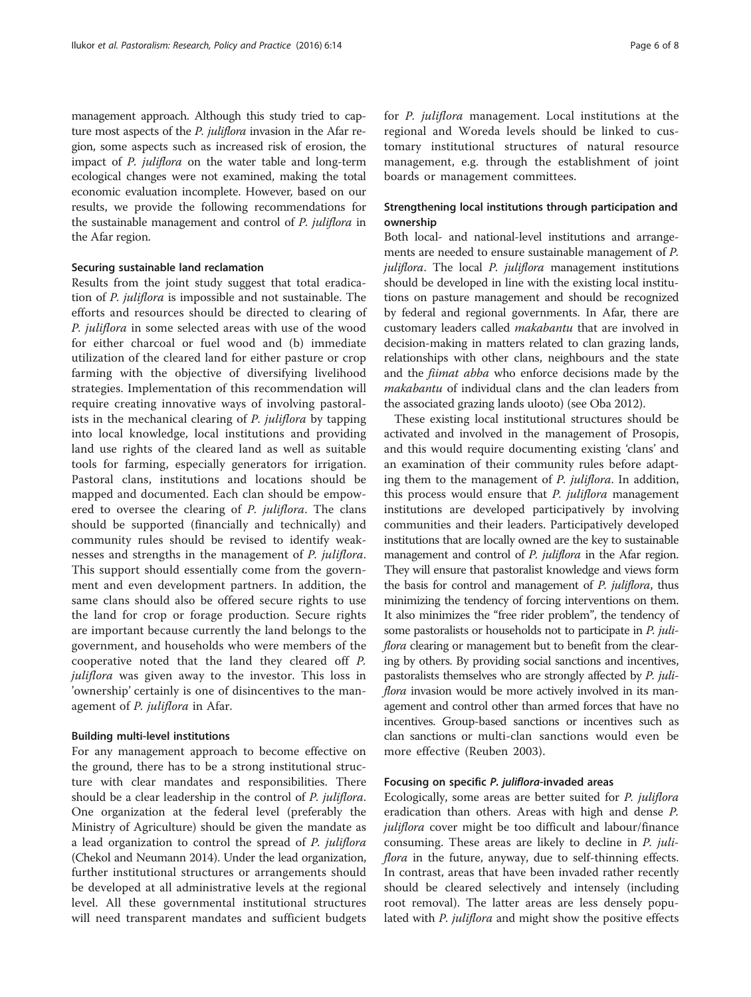management approach. Although this study tried to capture most aspects of the *P. juliflora* invasion in the Afar region, some aspects such as increased risk of erosion, the impact of *P. juliflora* on the water table and long-term ecological changes were not examined, making the total economic evaluation incomplete. However, based on our results, we provide the following recommendations for the sustainable management and control of P. juliflora in the Afar region.

#### Securing sustainable land reclamation

Results from the joint study suggest that total eradication of P. juliflora is impossible and not sustainable. The efforts and resources should be directed to clearing of P. juliflora in some selected areas with use of the wood for either charcoal or fuel wood and (b) immediate utilization of the cleared land for either pasture or crop farming with the objective of diversifying livelihood strategies. Implementation of this recommendation will require creating innovative ways of involving pastoralists in the mechanical clearing of P. juliflora by tapping into local knowledge, local institutions and providing land use rights of the cleared land as well as suitable tools for farming, especially generators for irrigation. Pastoral clans, institutions and locations should be mapped and documented. Each clan should be empowered to oversee the clearing of P. juliflora. The clans should be supported (financially and technically) and community rules should be revised to identify weaknesses and strengths in the management of P. juliflora. This support should essentially come from the government and even development partners. In addition, the same clans should also be offered secure rights to use the land for crop or forage production. Secure rights are important because currently the land belongs to the government, and households who were members of the cooperative noted that the land they cleared off P. juliflora was given away to the investor. This loss in 'ownership' certainly is one of disincentives to the management of P. juliflora in Afar.

#### Building multi-level institutions

For any management approach to become effective on the ground, there has to be a strong institutional structure with clear mandates and responsibilities. There should be a clear leadership in the control of *P. juliflora*. One organization at the federal level (preferably the Ministry of Agriculture) should be given the mandate as a lead organization to control the spread of *P. juliflora* (Chekol and Neumann [2014](#page-7-0)). Under the lead organization, further institutional structures or arrangements should be developed at all administrative levels at the regional level. All these governmental institutional structures will need transparent mandates and sufficient budgets for P. juliflora management. Local institutions at the regional and Woreda levels should be linked to customary institutional structures of natural resource management, e.g. through the establishment of joint boards or management committees.

## Strengthening local institutions through participation and ownership

Both local- and national-level institutions and arrangements are needed to ensure sustainable management of P. juliflora. The local P. juliflora management institutions should be developed in line with the existing local institutions on pasture management and should be recognized by federal and regional governments. In Afar, there are customary leaders called makabantu that are involved in decision-making in matters related to clan grazing lands, relationships with other clans, neighbours and the state and the fiimat abba who enforce decisions made by the makabantu of individual clans and the clan leaders from the associated grazing lands ulooto) (see Oba [2012\)](#page-7-0).

These existing local institutional structures should be activated and involved in the management of Prosopis, and this would require documenting existing 'clans' and an examination of their community rules before adapting them to the management of P. juliflora. In addition, this process would ensure that P. juliflora management institutions are developed participatively by involving communities and their leaders. Participatively developed institutions that are locally owned are the key to sustainable management and control of P. juliflora in the Afar region. They will ensure that pastoralist knowledge and views form the basis for control and management of P. juliflora, thus minimizing the tendency of forcing interventions on them. It also minimizes the "free rider problem", the tendency of some pastoralists or households not to participate in P. juliflora clearing or management but to benefit from the clearing by others. By providing social sanctions and incentives, pastoralists themselves who are strongly affected by P. juliflora invasion would be more actively involved in its management and control other than armed forces that have no incentives. Group-based sanctions or incentives such as clan sanctions or multi-clan sanctions would even be more effective (Reuben [2003](#page-7-0)).

#### Focusing on specific P. juliflora-invaded areas

Ecologically, some areas are better suited for P. juliflora eradication than others. Areas with high and dense P. juliflora cover might be too difficult and labour/finance consuming. These areas are likely to decline in *P. juli*flora in the future, anyway, due to self-thinning effects. In contrast, areas that have been invaded rather recently should be cleared selectively and intensely (including root removal). The latter areas are less densely populated with *P. juliflora* and might show the positive effects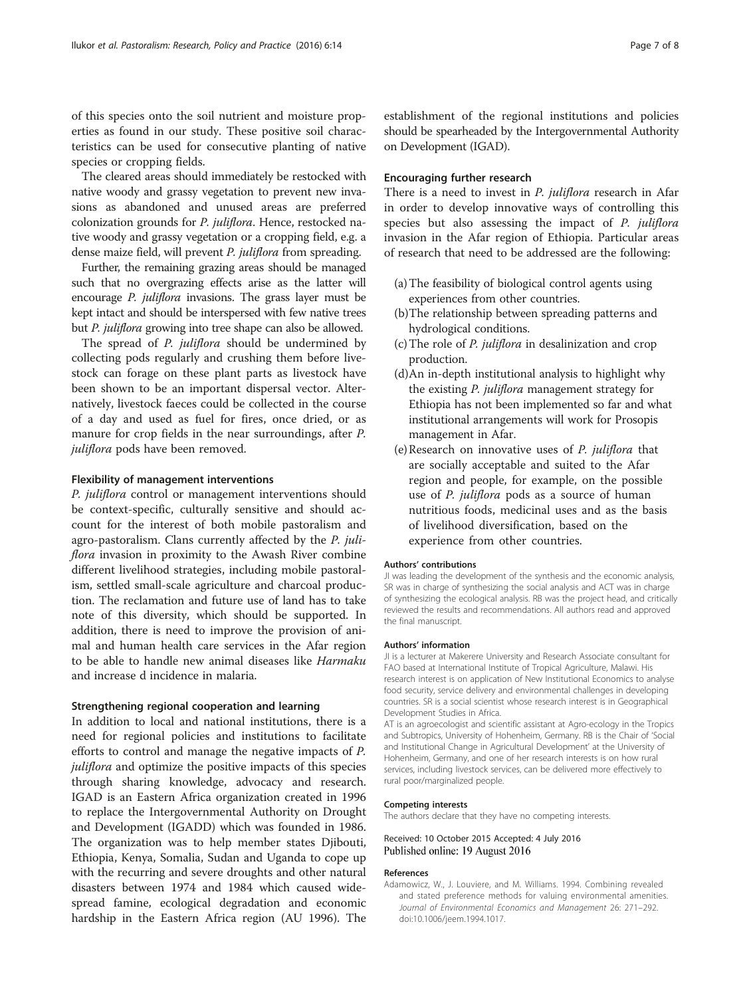<span id="page-6-0"></span>of this species onto the soil nutrient and moisture properties as found in our study. These positive soil characteristics can be used for consecutive planting of native species or cropping fields.

The cleared areas should immediately be restocked with native woody and grassy vegetation to prevent new invasions as abandoned and unused areas are preferred colonization grounds for P. juliflora. Hence, restocked native woody and grassy vegetation or a cropping field, e.g. a dense maize field, will prevent P. juliflora from spreading.

Further, the remaining grazing areas should be managed such that no overgrazing effects arise as the latter will encourage P. juliflora invasions. The grass layer must be kept intact and should be interspersed with few native trees but *P. juliflora* growing into tree shape can also be allowed.

The spread of P. juliflora should be undermined by collecting pods regularly and crushing them before livestock can forage on these plant parts as livestock have been shown to be an important dispersal vector. Alternatively, livestock faeces could be collected in the course of a day and used as fuel for fires, once dried, or as manure for crop fields in the near surroundings, after P. juliflora pods have been removed.

#### Flexibility of management interventions

P. juliflora control or management interventions should be context-specific, culturally sensitive and should account for the interest of both mobile pastoralism and agro-pastoralism. Clans currently affected by the P. juliflora invasion in proximity to the Awash River combine different livelihood strategies, including mobile pastoralism, settled small-scale agriculture and charcoal production. The reclamation and future use of land has to take note of this diversity, which should be supported. In addition, there is need to improve the provision of animal and human health care services in the Afar region to be able to handle new animal diseases like Harmaku and increase d incidence in malaria.

#### Strengthening regional cooperation and learning

In addition to local and national institutions, there is a need for regional policies and institutions to facilitate efforts to control and manage the negative impacts of P. juliflora and optimize the positive impacts of this species through sharing knowledge, advocacy and research. IGAD is an Eastern Africa organization created in 1996 to replace the Intergovernmental Authority on Drought and Development (IGADD) which was founded in 1986. The organization was to help member states Djibouti, Ethiopia, Kenya, Somalia, Sudan and Uganda to cope up with the recurring and severe droughts and other natural disasters between 1974 and 1984 which caused widespread famine, ecological degradation and economic hardship in the Eastern Africa region (AU [1996](#page-7-0)). The establishment of the regional institutions and policies should be spearheaded by the Intergovernmental Authority on Development (IGAD).

## Encouraging further research

There is a need to invest in *P. juliflora* research in Afar in order to develop innovative ways of controlling this species but also assessing the impact of P. juliflora invasion in the Afar region of Ethiopia. Particular areas of research that need to be addressed are the following:

- (a)The feasibility of biological control agents using experiences from other countries.
- (b)The relationship between spreading patterns and hydrological conditions.
- (c)The role of P. juliflora in desalinization and crop production.
- (d)An in-depth institutional analysis to highlight why the existing P. juliflora management strategy for Ethiopia has not been implemented so far and what institutional arrangements will work for Prosopis management in Afar.
- (e)Research on innovative uses of P. juliflora that are socially acceptable and suited to the Afar region and people, for example, on the possible use of P. juliflora pods as a source of human nutritious foods, medicinal uses and as the basis of livelihood diversification, based on the experience from other countries.

#### Authors' contributions

JI was leading the development of the synthesis and the economic analysis, SR was in charge of synthesizing the social analysis and ACT was in charge of synthesizing the ecological analysis. RB was the project head, and critically reviewed the results and recommendations. All authors read and approved the final manuscript.

#### Authors' information

JI is a lecturer at Makerere University and Research Associate consultant for FAO based at International Institute of Tropical Agriculture, Malawi. His research interest is on application of New Institutional Economics to analyse food security, service delivery and environmental challenges in developing countries. SR is a social scientist whose research interest is in Geographical Development Studies in Africa.

AT is an agroecologist and scientific assistant at Agro-ecology in the Tropics and Subtropics, University of Hohenheim, Germany. RB is the Chair of 'Social and Institutional Change in Agricultural Development' at the University of Hohenheim, Germany, and one of her research interests is on how rural services, including livestock services, can be delivered more effectively to rural poor/marginalized people.

#### Competing interests

The authors declare that they have no competing interests.

#### Received: 10 October 2015 Accepted: 4 July 2016 Published online: 19 August 2016

#### References

Adamowicz, W., J. Louviere, and M. Williams. 1994. Combining revealed and stated preference methods for valuing environmental amenities. Journal of Environmental Economics and Management 26: 271–292. doi:[10.1006/jeem.1994.1017.](http://dx.doi.org/10.1006/jeem.1994.1017)